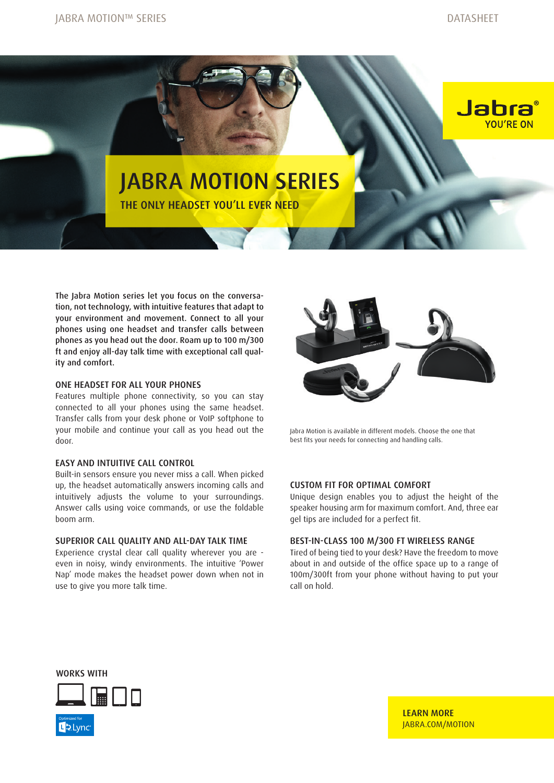Jabra

YOU'RE ON





The Jabra Motion series let you focus on the conversation, not technology, with intuitive features that adapt to your environment and movement. Connect to all your phones using one headset and transfer calls between phones as you head out the door. Roam up to 100 m/300 ft and enjoy all-day talk time with exceptional call quality and comfort.

## ONE HEADSET FOR ALL YOUR PHONES

Features multiple phone connectivity, so you can stay connected to all your phones using the same headset. Transfer calls from your desk phone or VoIP softphone to your mobile and continue your call as you head out the door.

### EASY AND INTUITIVE CALL CONTROL

Built-in sensors ensure you never miss a call. When picked up, the headset automatically answers incoming calls and intuitively adjusts the volume to your surroundings. Answer calls using voice commands, or use the foldable boom arm.

#### SUPERIOR CALL QUALITY AND ALL-DAY TALK TIME

Experience crystal clear call quality wherever you are even in noisy, windy environments. The intuitive 'Power Nap' mode makes the headset power down when not in use to give you more talk time.



Jabra Motion is available in different models. Choose the one that best fits your needs for connecting and handling calls.

#### CUSTOM FIT FOR OPTIMAL COMFORT

Unique design enables you to adjust the height of the speaker housing arm for maximum comfort. And, three ear gel tips are included for a perfect fit.

#### BEST-IN-CLASS 100 M/300 FT WIRELESS RANGE

Tired of being tied to your desk? Have the freedom to move about in and outside of the office space up to a range of 100m/300ft from your phone without having to put your call on hold.

WORKS WITH



LEARN MORE [JABRA.COM/MOTION](http://JABRA.COM/MOTION)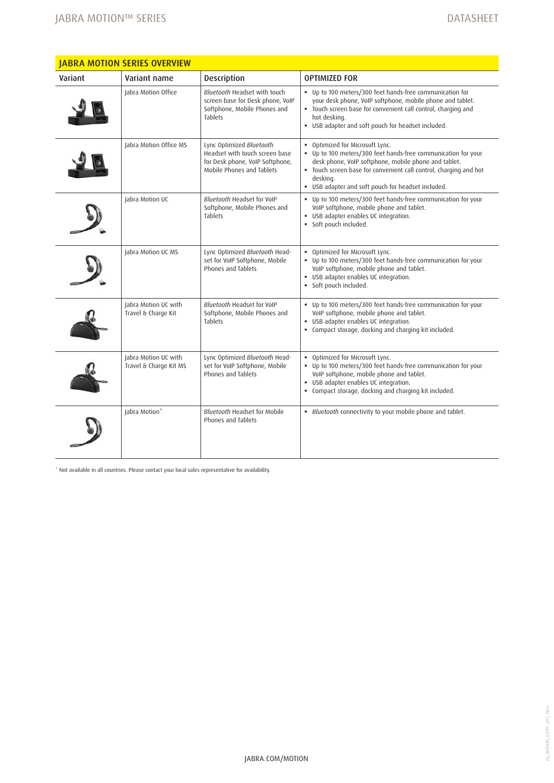| Variant | Variant name                                   | <b>Description</b>                                                                                                         | <b>OPTIMIZED FOR</b>                                                                                                                                                                                                                                                                            |
|---------|------------------------------------------------|----------------------------------------------------------------------------------------------------------------------------|-------------------------------------------------------------------------------------------------------------------------------------------------------------------------------------------------------------------------------------------------------------------------------------------------|
|         | Jabra Motion Office                            | Bluetooth Headset with touch<br>screen base for Desk phone, VoIP<br>Softphone, Mobile Phones and<br><b>Tablets</b>         | • Up to 100 meters/300 feet hands-free communication for<br>your desk phone, VoIP softphone, mobile phone and tablet.<br>" Touch screen base for convenient call control, charging and<br>hot desking.<br>. USB adapter and soft pouch for headset included.                                    |
|         | Jabra Motion Office MS                         | Lync Optimized Bluetooth<br>Headset with touch screen base<br>for Desk phone, VoIP Softphone,<br>Mobile Phones and Tablets | . Optimized for Microsoft Lync.<br>. Up to 100 meters/300 feet hands-free communication for your<br>desk phone, VoIP softphone, mobile phone and tablet.<br>. Touch screen base for convenient call control, charging and hot<br>desking.<br>" USB adapter and soft pouch for headset included. |
|         | Jabra Motion UC                                | Bluetooth Headset for VoIP<br>Softphone, Mobile Phones and<br><b>Tablets</b>                                               | • Up to 100 meters/300 feet hands-free communication for your<br>VoIP softphone, mobile phone and tablet.<br>· USB adapter enables UC integration.<br>· Soft pouch included.                                                                                                                    |
|         | Jabra Motion UC MS                             | Lync Optimized Bluetooth Head-<br>set for VoIP Softphone, Mobile<br>Phones and Tablets                                     | • Optimized for Microsoft Lync.<br>• Up to 100 meters/300 feet hands-free communication for your<br>VoIP softphone, mobile phone and tablet.<br>· USB adapter enables UC integration.<br>· Soft pouch included.                                                                                 |
|         | Jabra Motion UC with<br>Travel & Charge Kit    | Bluetooth Headset for VoIP<br>Softphone, Mobile Phones and<br><b>Tablets</b>                                               | • Up to 100 meters/300 feet hands-free communication for your<br>VoIP softphone, mobile phone and tablet.<br>· USB adapter enables UC integration.<br>• Compact storage, docking and charging kit included.                                                                                     |
|         | Jabra Motion UC with<br>Travel & Charge Kit MS | Lync Optimized Bluetooth Head-<br>set for VoIP Softphone, Mobile<br>Phones and Tablets                                     | . Optimized for Microsoft Lync.<br>• Up to 100 meters/300 feet hands-free communication for your<br>VoIP softphone, mobile phone and tablet.<br>· USB adapter enables UC integration.<br>• Compact storage, docking and charging kit included.                                                  |
|         | Jabra Motion*                                  | <b>Bluetooth Headset for Mobile</b><br>Phones and Tablets                                                                  | · Bluetooth connectivity to your mobile phone and tablet.                                                                                                                                                                                                                                       |

\* Not available in all countries. Please contact your local sales representative for availability.